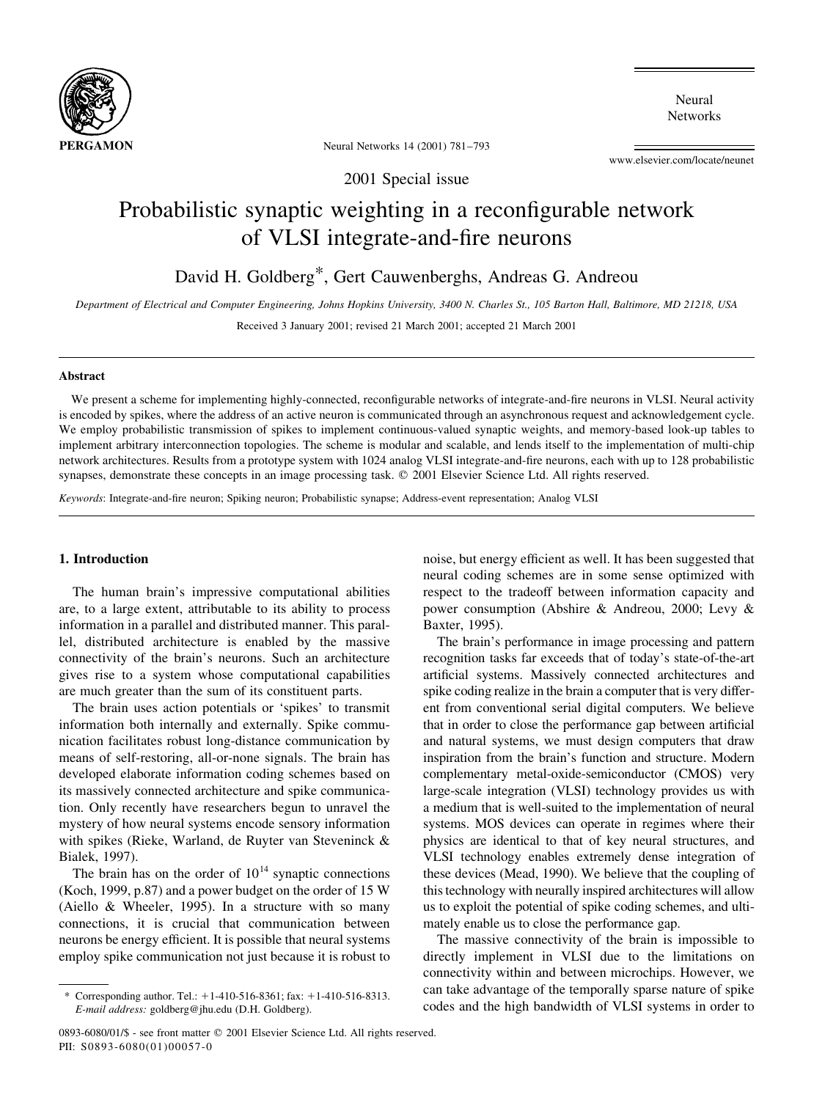

Neural **Networks** 

Neural Networks 14 (2001) 781-793

www.elsevier.com/locate/neunet

2001 Special issue

# Probabilistic synaptic weighting in a reconfigurable network of VLSI integrate-and-fire neurons

David H. Goldberg\*, Gert Cauwenberghs, Andreas G. Andreou

Department of Electrical and Computer Engineering, Johns Hopkins University, 3400 N. Charles St., 105 Barton Hall, Baltimore, MD 21218, USA

Received 3 January 2001; revised 21 March 2001; accepted 21 March 2001

### Abstract

We present a scheme for implementing highly-connected, reconfigurable networks of integrate-and-fire neurons in VLSI. Neural activity is encoded by spikes, where the address of an active neuron is communicated through an asynchronous request and acknowledgement cycle. We employ probabilistic transmission of spikes to implement continuous-valued synaptic weights, and memory-based look-up tables to implement arbitrary interconnection topologies. The scheme is modular and scalable, and lends itself to the implementation of multi-chip network architectures. Results from a prototype system with 1024 analog VLSI integrate-and-fire neurons, each with up to 128 probabilistic synapses, demonstrate these concepts in an image processing task. © 2001 Elsevier Science Ltd. All rights reserved.

Keywords: Integrate-and-fire neuron; Spiking neuron; Probabilistic synapse; Address-event representation; Analog VLSI

## 1. Introduction

The human brain's impressive computational abilities are, to a large extent, attributable to its ability to process information in a parallel and distributed manner. This parallel, distributed architecture is enabled by the massive connectivity of the brain's neurons. Such an architecture gives rise to a system whose computational capabilities are much greater than the sum of its constituent parts.

The brain uses action potentials or 'spikes' to transmit information both internally and externally. Spike communication facilitates robust long-distance communication by means of self-restoring, all-or-none signals. The brain has developed elaborate information coding schemes based on its massively connected architecture and spike communication. Only recently have researchers begun to unravel the mystery of how neural systems encode sensory information with spikes (Rieke, Warland, de Ruyter van Steveninck & Bialek, 1997).

The brain has on the order of  $10^{14}$  synaptic connections (Koch, 1999, p.87) and a power budget on the order of 15 W (Aiello & Wheeler, 1995). In a structure with so many connections, it is crucial that communication between neurons be energy efficient. It is possible that neural systems employ spike communication not just because it is robust to

noise, but energy efficient as well. It has been suggested that neural coding schemes are in some sense optimized with respect to the tradeoff between information capacity and power consumption (Abshire & Andreou, 2000; Levy & Baxter, 1995).

The brain's performance in image processing and pattern recognition tasks far exceeds that of today's state-of-the-art artificial systems. Massively connected architectures and spike coding realize in the brain a computer that is very different from conventional serial digital computers. We believe that in order to close the performance gap between artificial and natural systems, we must design computers that draw inspiration from the brain's function and structure. Modern complementary metal-oxide-semiconductor (CMOS) very large-scale integration (VLSI) technology provides us with a medium that is well-suited to the implementation of neural systems. MOS devices can operate in regimes where their physics are identical to that of key neural structures, and VLSI technology enables extremely dense integration of these devices (Mead, 1990). We believe that the coupling of this technology with neurally inspired architectures will allow us to exploit the potential of spike coding schemes, and ultimately enable us to close the performance gap.

The massive connectivity of the brain is impossible to directly implement in VLSI due to the limitations on connectivity within and between microchips. However, we can take advantage of the temporally sparse nature of spike codes and the high bandwidth of VLSI systems in order to

Corresponding author. Tel.: +1-410-516-8361; fax: +1-410-516-8313. E-mail address: goldberg@jhu.edu (D.H. Goldberg).

<sup>0893-6080/01/\$ -</sup> see front matter © 2001 Elsevier Science Ltd. All rights reserved. PII: S0893-6080(01)00057-0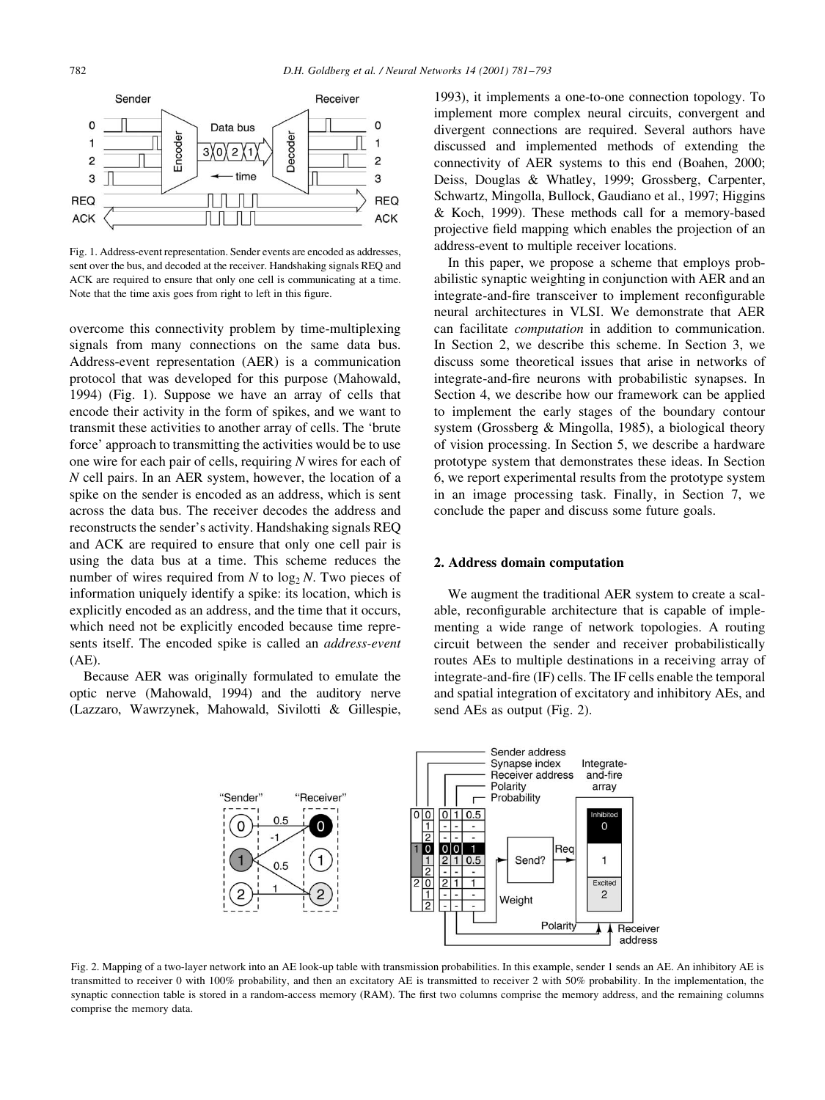

Fig. 1. Address-event representation. Sender events are encoded as addresses. sent over the bus, and decoded at the receiver. Handshaking signals REQ and ACK are required to ensure that only one cell is communicating at a time. Note that the time axis goes from right to left in this figure.

overcome this connectivity problem by time-multiplexing signals from many connections on the same data bus. Address-event representation (AER) is a communication protocol that was developed for this purpose (Mahowald, 1994) (Fig. 1). Suppose we have an array of cells that encode their activity in the form of spikes, and we want to transmit these activities to another array of cells. The 'brute force' approach to transmitting the activities would be to use one wire for each pair of cells, requiring  $N$  wires for each of  $N$  cell pairs. In an AER system, however, the location of a spike on the sender is encoded as an address, which is sent across the data bus. The receiver decodes the address and reconstructs the sender's activity. Handshaking signals REO and ACK are required to ensure that only one cell pair is using the data bus at a time. This scheme reduces the number of wires required from N to  $\log_2 N$ . Two pieces of information uniquely identify a spike: its location, which is explicitly encoded as an address, and the time that it occurs, which need not be explicitly encoded because time represents itself. The encoded spike is called an *address-event*  $(AE)$ .

Because AER was originally formulated to emulate the optic nerve (Mahowald, 1994) and the auditory nerve (Lazzaro, Wawrzynek, Mahowald, Sivilotti & Gillespie, 1993), it implements a one-to-one connection topology. To implement more complex neural circuits, convergent and divergent connections are required. Several authors have discussed and implemented methods of extending the connectivity of AER systems to this end (Boahen, 2000; Deiss, Douglas & Whatley, 1999; Grossberg, Carpenter, Schwartz, Mingolla, Bullock, Gaudiano et al., 1997; Higgins & Koch, 1999). These methods call for a memory-based projective field mapping which enables the projection of an address-event to multiple receiver locations.

In this paper, we propose a scheme that employs probabilistic synaptic weighting in conjunction with AER and an integrate-and-fire transceiver to implement reconfigurable neural architectures in VLSI. We demonstrate that AER can facilitate *computation* in addition to communication. In Section 2, we describe this scheme. In Section 3, we discuss some theoretical issues that arise in networks of integrate-and-fire neurons with probabilistic synapses. In Section 4, we describe how our framework can be applied to implement the early stages of the boundary contour system (Grossberg & Mingolla, 1985), a biological theory of vision processing. In Section 5, we describe a hardware prototype system that demonstrates these ideas. In Section 6, we report experimental results from the prototype system in an image processing task. Finally, in Section 7, we conclude the paper and discuss some future goals.

# 2. Address domain computation

We augment the traditional AER system to create a scalable, reconfigurable architecture that is capable of implementing a wide range of network topologies. A routing circuit between the sender and receiver probabilistically routes AEs to multiple destinations in a receiving array of integrate-and-fire (IF) cells. The IF cells enable the temporal and spatial integration of excitatory and inhibitory AEs, and send AEs as output (Fig. 2).



Fig. 2. Mapping of a two-layer network into an AE look-up table with transmission probabilities. In this example, sender 1 sends an AE. An inhibitory AE is transmitted to receiver 0 with 100% probability, and then an excitatory AE is transmitted to receiver 2 with 50% probability. In the implementation, the synaptic connection table is stored in a random-access memory (RAM). The first two columns comprise the memory address, and the remaining columns comprise the memory data.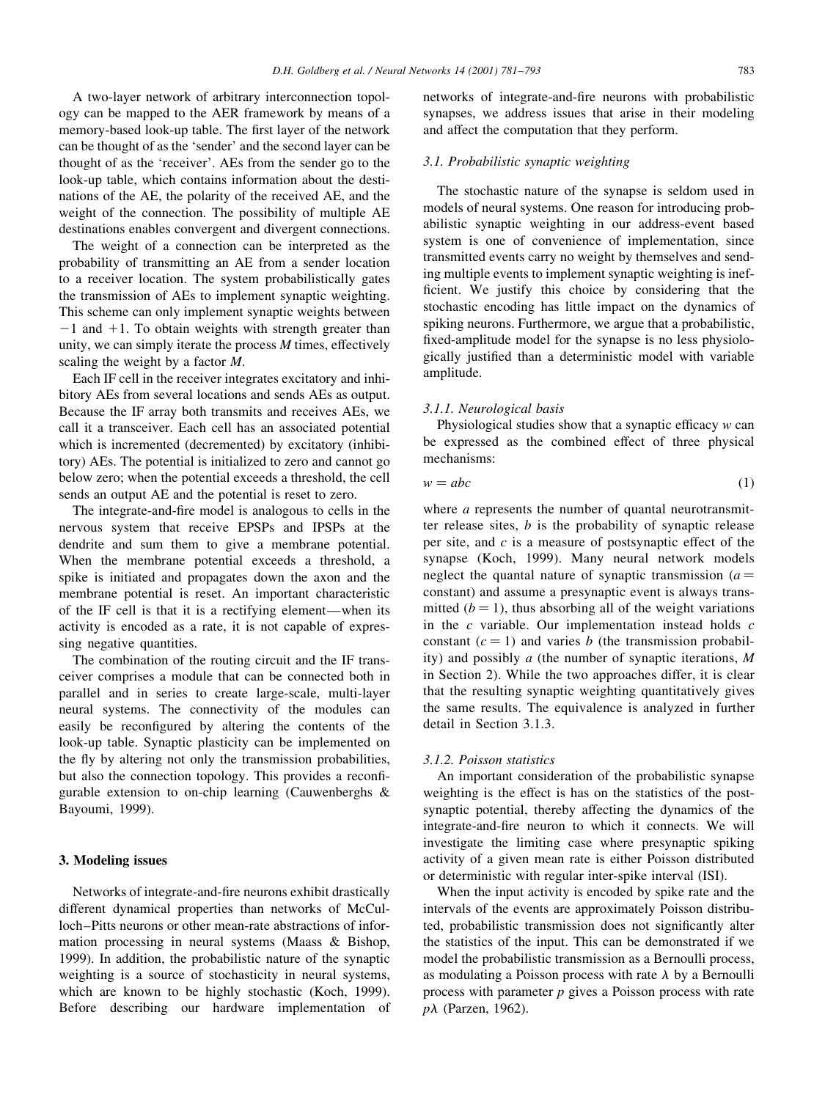A two-layer network of arbitrary interconnection topology can be mapped to the AER framework by means of a memory-based look-up table. The first layer of the network can be thought of as the 'sender' and the second layer can be thought of as the 'receiver'. AEs from the sender go to the look-up table, which contains information about the destinations of the AE, the polarity of the received AE, and the weight of the connection. The possibility of multiple AE destinations enables convergent and divergent connections.

The weight of a connection can be interpreted as the probability of transmitting an AE from a sender location to a receiver location. The system probabilistically gates the transmission of AEs to implement synaptic weighting. This scheme can only implement synaptic weights between  $-1$  and  $+1$ . To obtain weights with strength greater than unity, we can simply iterate the process  $M$  times, effectively scaling the weight by a factor  $M$ .

Each IF cell in the receiver integrates excitatory and inhibitory AEs from several locations and sends AEs as output. Because the IF array both transmits and receives AEs, we call it a transceiver. Each cell has an associated potential which is incremented (decremented) by excitatory (inhibitory) AEs. The potential is initialized to zero and cannot go below zero; when the potential exceeds a threshold, the cell sends an output AE and the potential is reset to zero.

The integrate-and-fire model is analogous to cells in the nervous system that receive EPSPs and IPSPs at the dendrite and sum them to give a membrane potential. When the membrane potential exceeds a threshold, a spike is initiated and propagates down the axon and the membrane potential is reset. An important characteristic of the IF cell is that it is a rectifying element—when its activity is encoded as a rate, it is not capable of expressing negative quantities.

The combination of the routing circuit and the IF transceiver comprises a module that can be connected both in parallel and in series to create large-scale, multi-layer neural systems. The connectivity of the modules can easily be reconfigured by altering the contents of the look-up table. Synaptic plasticity can be implemented on the fly by altering not only the transmission probabilities, but also the connection topology. This provides a reconfigurable extension to on-chip learning (Cauwenberghs  $\&$ Bayoumi, 1999).

#### 3. Modeling issues

Networks of integrate-and-fire neurons exhibit drastically different dynamical properties than networks of McCulloch-Pitts neurons or other mean-rate abstractions of information processing in neural systems (Maass & Bishop, 1999). In addition, the probabilistic nature of the synaptic weighting is a source of stochasticity in neural systems, which are known to be highly stochastic (Koch, 1999). Before describing our hardware implementation of networks of integrate-and-fire neurons with probabilistic synapses, we address issues that arise in their modeling and affect the computation that they perform.

# 3.1. Probabilistic synaptic weighting

The stochastic nature of the synapse is seldom used in models of neural systems. One reason for introducing probabilistic synaptic weighting in our address-event based system is one of convenience of implementation, since transmitted events carry no weight by themselves and sending multiple events to implement synaptic weighting is inefficient. We justify this choice by considering that the stochastic encoding has little impact on the dynamics of spiking neurons. Furthermore, we argue that a probabilistic, fixed-amplitude model for the synapse is no less physiologically justified than a deterministic model with variable amplitude.

#### 3.1.1. Neurological basis

Physiological studies show that a synaptic efficacy  $w$  can be expressed as the combined effect of three physical mechanisms:

$$
v = abc \tag{1}
$$

where *a* represents the number of quantal neurotransmitter release sites,  $b$  is the probability of synaptic release per site, and  $c$  is a measure of postsynaptic effect of the synapse (Koch, 1999). Many neural network models neglect the quantal nature of synaptic transmission ( $a =$ constant) and assume a presynaptic event is always transmitted ( $b = 1$ ), thus absorbing all of the weight variations in the  $c$  variable. Our implementation instead holds  $c$ constant  $(c = 1)$  and varies b (the transmission probability) and possibly  $a$  (the number of synaptic iterations,  $M$ in Section 2). While the two approaches differ, it is clear that the resulting synaptic weighting quantitatively gives the same results. The equivalence is analyzed in further detail in Section 3.1.3.

#### 3.1.2. Poisson statistics

An important consideration of the probabilistic synapse weighting is the effect is has on the statistics of the postsynaptic potential, thereby affecting the dynamics of the integrate-and-fire neuron to which it connects. We will investigate the limiting case where presynaptic spiking activity of a given mean rate is either Poisson distributed or deterministic with regular inter-spike interval (ISI).

When the input activity is encoded by spike rate and the intervals of the events are approximately Poisson distributed, probabilistic transmission does not significantly alter the statistics of the input. This can be demonstrated if we model the probabilistic transmission as a Bernoulli process, as modulating a Poisson process with rate  $\lambda$  by a Bernoulli process with parameter  $p$  gives a Poisson process with rate  $p\lambda$  (Parzen, 1962).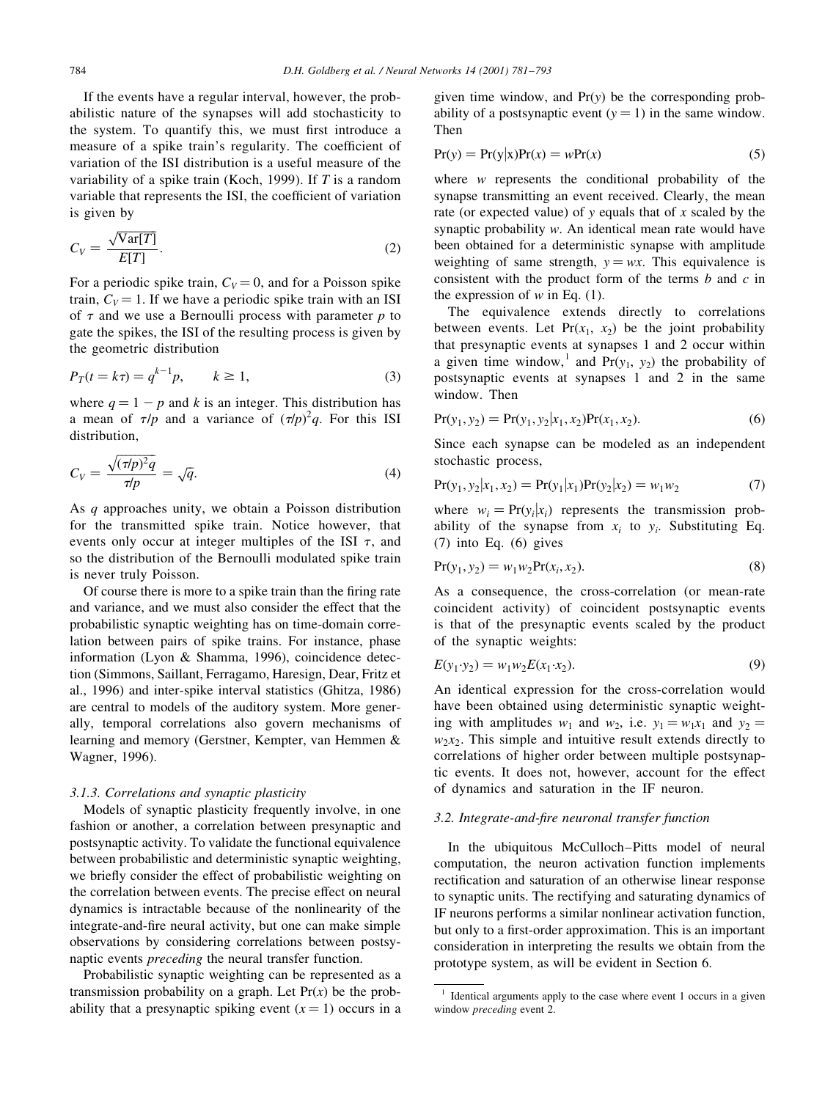If the events have a regular interval, however, the probabilistic nature of the synapses will add stochasticity to the system. To quantify this, we must first introduce a measure of a spike train's regularity. The coefficient of variation of the ISI distribution is a useful measure of the variability of a spike train (Koch, 1999). If  $T$  is a random variable that represents the ISI, the coefficient of variation is given by

$$
C_V = \frac{\sqrt{\text{Var}[T]}}{E[T]}.\tag{2}
$$

For a periodic spike train,  $C_V = 0$ , and for a Poisson spike train,  $C_V = 1$ . If we have a periodic spike train with an ISI of  $\tau$  and we use a Bernoulli process with parameter p to gate the spikes, the ISI of the resulting process is given by the geometric distribution

$$
P_T(t = k\tau) = q^{k-1}p, \qquad k \ge 1,\tag{3}
$$

where  $q = 1 - p$  and k is an integer. This distribution has a mean of  $\tau/p$  and a variance of  $(\tau/p)^2 q$ . For this ISI distribution,

$$
C_V = \frac{\sqrt{(\pi/p)^2 q}}{\pi/p} = \sqrt{q}.\tag{4}
$$

As q approaches unity, we obtain a Poisson distribution for the transmitted spike train. Notice however, that events only occur at integer multiples of the ISI  $\tau$ , and so the distribution of the Bernoulli modulated spike train is never truly Poisson.

Of course there is more to a spike train than the firing rate and variance, and we must also consider the effect that the probabilistic synaptic weighting has on time-domain correlation between pairs of spike trains. For instance, phase information (Lyon & Shamma, 1996), coincidence detection (Simmons, Saillant, Ferragamo, Haresign, Dear, Fritz et al., 1996) and inter-spike interval statistics (Ghitza, 1986) are central to models of the auditory system. More generally, temporal correlations also govern mechanisms of learning and memory (Gerstner, Kempter, van Hemmen & Wagner, 1996).

### 3.1.3. Correlations and synaptic plasticity

Models of synaptic plasticity frequently involve, in one fashion or another, a correlation between presynaptic and postsynaptic activity. To validate the functional equivalence between probabilistic and deterministic synaptic weighting, we briefly consider the effect of probabilistic weighting on the correlation between events. The precise effect on neural dynamics is intractable because of the nonlinearity of the integrate-and-fire neural activity, but one can make simple observations by considering correlations between postsynaptic events *preceding* the neural transfer function.

Probabilistic synaptic weighting can be represented as a transmission probability on a graph. Let  $Pr(x)$  be the probability that a presynaptic spiking event  $(x = 1)$  occurs in a given time window, and  $Pr(y)$  be the corresponding probability of a postsynaptic event  $(y = 1)$  in the same window. Then

$$
Pr(y) = Pr(y|x)Pr(x) = wPr(x)
$$
\n(5)

where  $w$  represents the conditional probability of the synapse transmitting an event received. Clearly, the mean rate (or expected value) of  $y$  equals that of  $x$  scaled by the synaptic probability w. An identical mean rate would have been obtained for a deterministic synapse with amplitude weighting of same strength,  $y = wx$ . This equivalence is consistent with the product form of the terms  $b$  and  $c$  in the expression of  $w$  in Eq. (1).

The equivalence extends directly to correlations between events. Let  $Pr(x_1, x_2)$  be the joint probability that presynaptic events at synapses 1 and 2 occur within a given time window, and  $Pr(y_1, y_2)$  the probability of postsynaptic events at synapses 1 and 2 in the same window. Then

$$
Pr(y_1, y_2) = Pr(y_1, y_2 | x_1, x_2) Pr(x_1, x_2).
$$
 (6)

Since each synapse can be modeled as an independent stochastic process,

$$
Pr(y_1, y_2 | x_1, x_2) = Pr(y_1 | x_1) Pr(y_2 | x_2) = w_1 w_2
$$
\n(7)

where  $w_i = Pr(y_i|x_i)$  represents the transmission probability of the synapse from  $x_i$  to  $y_i$ . Substituting Eq.  $(7)$  into Eq.  $(6)$  gives

$$
Pr(y_1, y_2) = w_1 w_2 Pr(x_i, x_2).
$$
 (8)

As a consequence, the cross-correlation (or mean-rate coincident activity) of coincident postsynaptic events is that of the presynaptic events scaled by the product of the synaptic weights:

$$
E(y_1 \cdot y_2) = w_1 w_2 E(x_1 \cdot x_2). \tag{9}
$$

An identical expression for the cross-correlation would have been obtained using deterministic synaptic weighting with amplitudes  $w_1$  and  $w_2$ , i.e.  $y_1 = w_1x_1$  and  $y_2 = w_1x_1$  $w_2x_2$ . This simple and intuitive result extends directly to correlations of higher order between multiple postsynaptic events. It does not, however, account for the effect of dynamics and saturation in the IF neuron.

# 3.2. Integrate-and-fire neuronal transfer function

In the ubiquitous McCulloch-Pitts model of neural computation, the neuron activation function implements rectification and saturation of an otherwise linear response to synaptic units. The rectifying and saturating dynamics of IF neurons performs a similar nonlinear activation function, but only to a first-order approximation. This is an important consideration in interpreting the results we obtain from the prototype system, as will be evident in Section 6.

 $1$  Identical arguments apply to the case where event 1 occurs in a given window preceding event 2.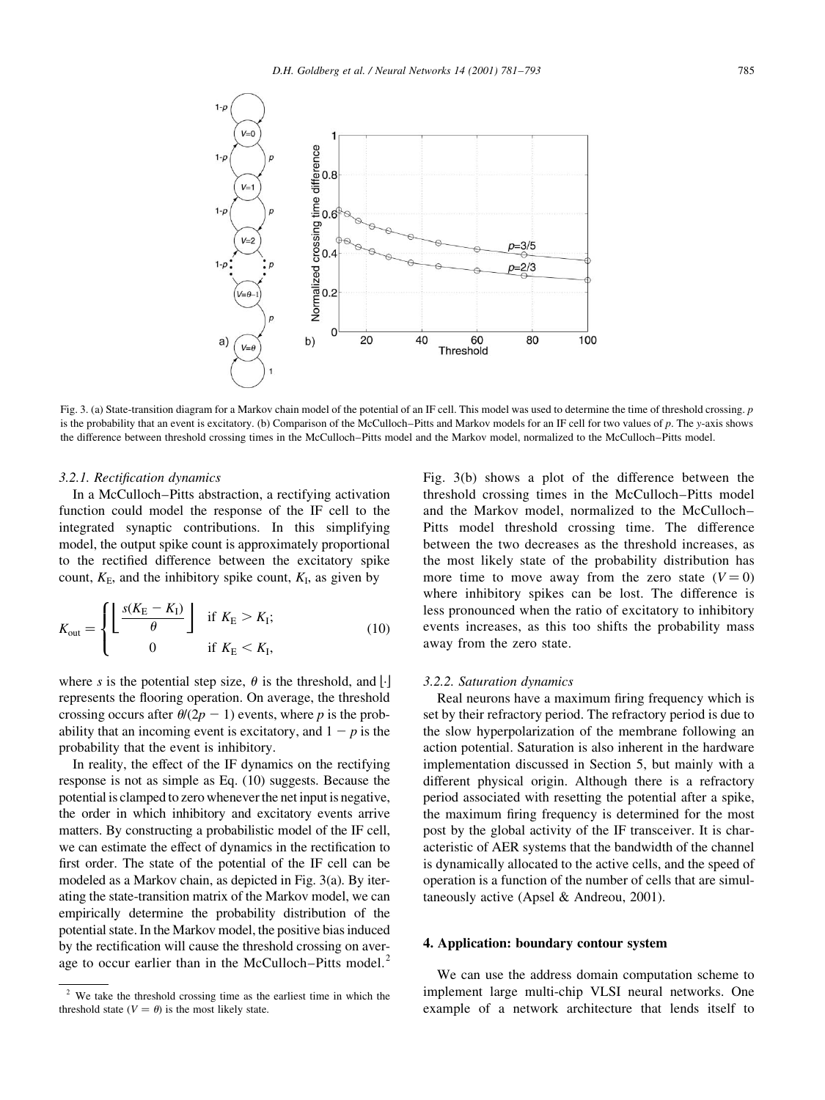

Fig. 3. (a) State-transition diagram for a Markov chain model of the potential of an IF cell. This model was used to determine the time of threshold crossing. p is the probability that an event is excitatory. (b) Comparison of the McCulloch–Pitts and Markov models for an IF cell for two values of p. The y-axis shows the difference between threshold crossing times in the McCulloch-Pitts model and the Markov model, normalized to the McCulloch-Pitts model.

## 3.2.1. Rectification dynamics

In a McCulloch–Pitts abstraction, a rectifying activation function could model the response of the IF cell to the integrated synaptic contributions. In this simplifying model, the output spike count is approximately proportional to the rectified difference between the excitatory spike count,  $K_{\rm E}$ , and the inhibitory spike count,  $K_{\rm I}$ , as given by

$$
K_{\text{out}} = \begin{cases} \left\lfloor \frac{s(K_{\text{E}} - K_{\text{I}})}{\theta} \right\rfloor & \text{if } K_{\text{E}} > K_{\text{I}};\\ 0 & \text{if } K_{\text{E}} < K_{\text{I}}, \end{cases}
$$
(10)

where s is the potential step size,  $\theta$  is the threshold, and |. represents the flooring operation. On average, the threshold crossing occurs after  $\theta/(2p-1)$  events, where p is the probability that an incoming event is excitatory, and  $1 - p$  is the probability that the event is inhibitory.

In reality, the effect of the IF dynamics on the rectifying response is not as simple as Eq.  $(10)$  suggests. Because the potential is clamped to zero whenever the net input is negative, the order in which inhibitory and excitatory events arrive matters. By constructing a probabilistic model of the IF cell, we can estimate the effect of dynamics in the rectification to first order. The state of the potential of the IF cell can be modeled as a Markov chain, as depicted in Fig. 3(a). By iterating the state-transition matrix of the Markov model, we can empirically determine the probability distribution of the potential state. In the Markov model, the positive bias induced by the rectification will cause the threshold crossing on average to occur earlier than in the McCulloch–Pitts model.<sup>2</sup>

Fig.  $3(b)$  shows a plot of the difference between the threshold crossing times in the McCulloch–Pitts model and the Markov model, normalized to the McCulloch-Pitts model threshold crossing time. The difference between the two decreases as the threshold increases, as the most likely state of the probability distribution has more time to move away from the zero state  $(V=0)$ where inhibitory spikes can be lost. The difference is less pronounced when the ratio of excitatory to inhibitory events increases, as this too shifts the probability mass away from the zero state.

#### 3.2.2. Saturation dynamics

Real neurons have a maximum firing frequency which is set by their refractory period. The refractory period is due to the slow hyperpolarization of the membrane following an action potential. Saturation is also inherent in the hardware implementation discussed in Section 5, but mainly with a different physical origin. Although there is a refractory period associated with resetting the potential after a spike, the maximum firing frequency is determined for the most post by the global activity of the IF transceiver. It is characteristic of AER systems that the bandwidth of the channel is dynamically allocated to the active cells, and the speed of operation is a function of the number of cells that are simultaneously active (Apsel & Andreou, 2001).

## 4. Application: boundary contour system

We can use the address domain computation scheme to implement large multi-chip VLSI neural networks. One example of a network architecture that lends itself to

 $3\degree$  We take the threshold crossing time as the earliest time in which the threshold state  $(V = \theta)$  is the most likely state.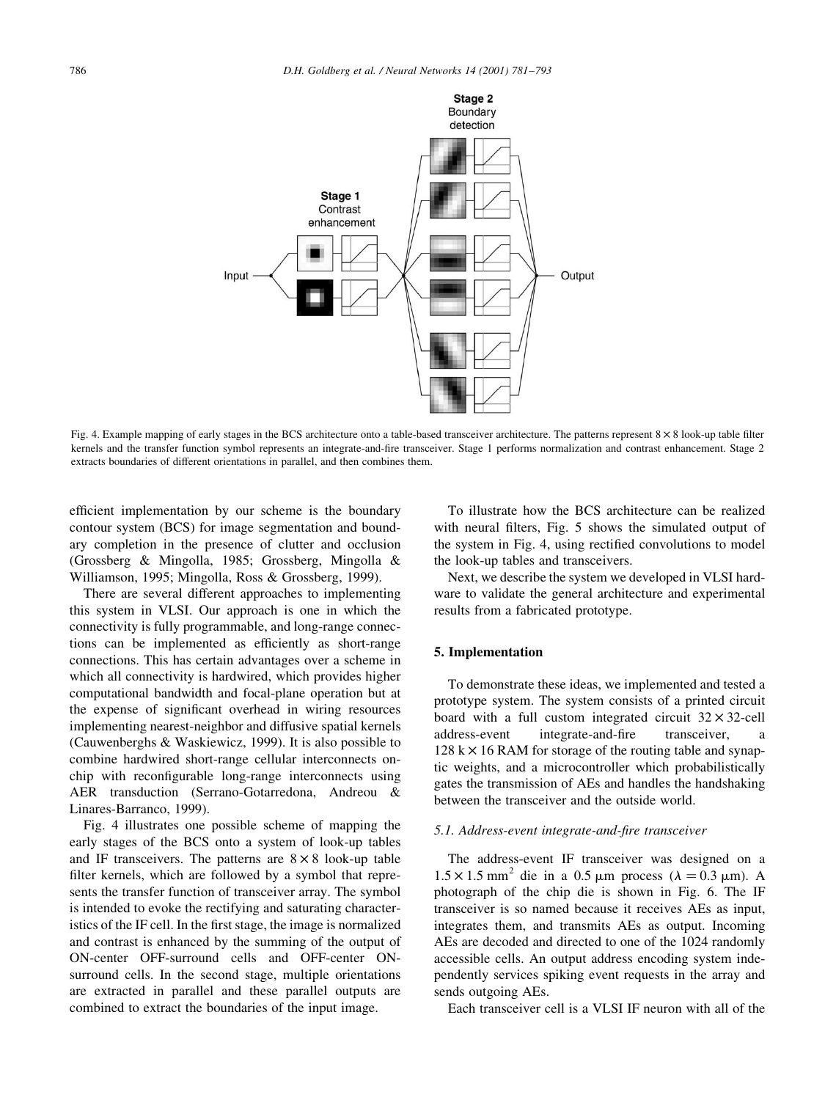

Fig. 4. Example mapping of early stages in the BCS architecture onto a table-based transceiver architecture. The patterns represent 8 × 8 look-up table filter kernels and the transfer function symbol represents an integrate-and-fire transceiver. Stage 1 performs normalization and contrast enhancement. Stage 2 extracts boundaries of different orientations in parallel, and then combines them.

efficient implementation by our scheme is the boundary contour system (BCS) for image segmentation and boundary completion in the presence of clutter and occlusion (Grossberg & Mingolla, 1985; Grossberg, Mingolla & Williamson, 1995; Mingolla, Ross & Grossberg, 1999).

There are several different approaches to implementing this system in VLSI. Our approach is one in which the connectivity is fully programmable, and long-range connections can be implemented as efficiently as short-range connections. This has certain advantages over a scheme in which all connectivity is hardwired, which provides higher computational bandwidth and focal-plane operation but at the expense of significant overhead in wiring resources implementing nearest-neighbor and diffusive spatial kernels (Cauwenberghs & Waskiewicz, 1999). It is also possible to combine hardwired short-range cellular interconnects onchip with reconfigurable long-range interconnects using AER transduction (Serrano-Gotarredona, Andreou & Linares-Barranco, 1999).

Fig. 4 illustrates one possible scheme of mapping the early stages of the BCS onto a system of look-up tables and IF transceivers. The patterns are  $8 \times 8$  look-up table filter kernels, which are followed by a symbol that represents the transfer function of transceiver array. The symbol is intended to evoke the rectifying and saturating characteristics of the IF cell. In the first stage, the image is normalized and contrast is enhanced by the summing of the output of ON-center OFF-surround cells and OFF-center ONsurround cells. In the second stage, multiple orientations are extracted in parallel and these parallel outputs are combined to extract the boundaries of the input image.

To illustrate how the BCS architecture can be realized with neural filters, Fig. 5 shows the simulated output of the system in Fig. 4, using rectified convolutions to model the look-up tables and transceivers.

Next, we describe the system we developed in VLSI hardware to validate the general architecture and experimental results from a fabricated prototype.

# 5. Implementation

To demonstrate these ideas, we implemented and tested a prototype system. The system consists of a printed circuit board with a full custom integrated circuit  $32 \times 32$ -cell address-event integrate-and-fire transceiver,  $\mathbf{a}$  $128 k \times 16$  RAM for storage of the routing table and synaptic weights, and a microcontroller which probabilistically gates the transmission of AEs and handles the handshaking between the transceiver and the outside world.

#### 5.1. Address-event integrate-and-fire transceiver

The address-event IF transceiver was designed on a  $1.5 \times 1.5$  mm<sup>2</sup> die in a 0.5 um process ( $\lambda = 0.3$  um). A photograph of the chip die is shown in Fig. 6. The IF transceiver is so named because it receives AEs as input. integrates them, and transmits AEs as output. Incoming AEs are decoded and directed to one of the 1024 randomly accessible cells. An output address encoding system independently services spiking event requests in the array and sends outgoing AEs.

Each transceiver cell is a VLSI IF neuron with all of the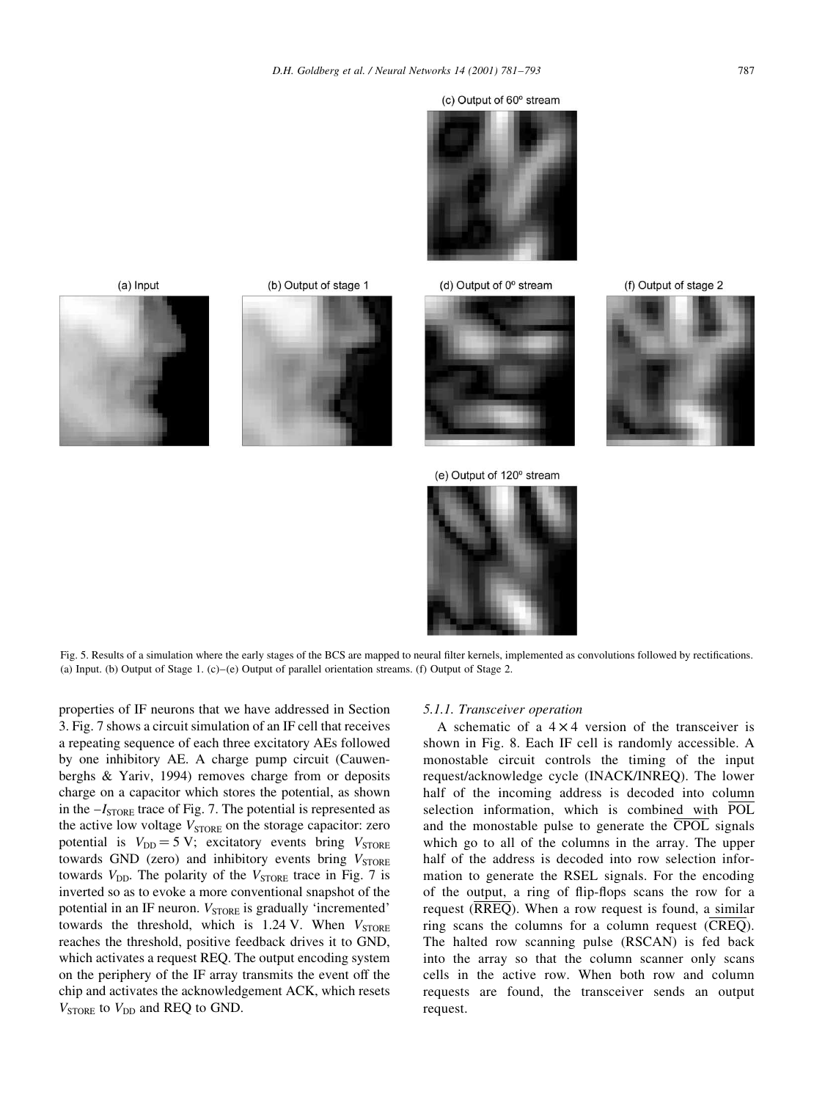(c) Output of 60° stream



(d) Output of 0° stream



(e) Output of 120° stream



(f) Output of stage 2



Fig. 5. Results of a simulation where the early stages of the BCS are mapped to neural filter kernels, implemented as convolutions followed by rectifications. (a) Input. (b) Output of Stage 1. (c)–(e) Output of parallel orientation streams. (f) Output of Stage 2.

properties of IF neurons that we have addressed in Section 3. Fig. 7 shows a circuit simulation of an IF cell that receives a repeating sequence of each three excitatory AEs followed by one inhibitory AE. A charge pump circuit (Cauwenberghs & Yariv, 1994) removes charge from or deposits charge on a capacitor which stores the potential, as shown in the  $-I_{\text{STORE}}$  trace of Fig. 7. The potential is represented as the active low voltage  $V_{\text{STORE}}$  on the storage capacitor: zero potential is  $V_{\text{DD}} = 5 \text{ V}$ ; excitatory events bring  $V_{\text{STORE}}$ towards GND (zero) and inhibitory events bring  $V_{\text{STORE}}$ towards  $V_{DD}$ . The polarity of the  $V_{STORE}$  trace in Fig. 7 is inverted so as to evoke a more conventional snapshot of the potential in an IF neuron.  $V_{\text{STORE}}$  is gradually 'incremented' towards the threshold, which is 1.24 V. When  $V_{STORE}$ reaches the threshold, positive feedback drives it to GND, which activates a request REQ. The output encoding system on the periphery of the IF array transmits the event off the chip and activates the acknowledgement ACK, which resets  $V_{\text{STORE}}$  to  $V_{\text{DD}}$  and REQ to GND.

#### 5.1.1. Transceiver operation

A schematic of a  $4 \times 4$  version of the transceiver is shown in Fig. 8. Each IF cell is randomly accessible. A monostable circuit controls the timing of the input request/acknowledge cycle (INACK/INREO). The lower half of the incoming address is decoded into column selection information, which is combined with POL and the monostable pulse to generate the  $\overline{CPOL}$  signals which go to all of the columns in the array. The upper half of the address is decoded into row selection information to generate the RSEL signals. For the encoding of the output, a ring of flip-flops scans the row for a request (RREQ). When a row request is found, a similar ring scans the columns for a column request  $(\overline{\text{CREQ}})$ . The halted row scanning pulse (RSCAN) is fed back into the array so that the column scanner only scans cells in the active row. When both row and column requests are found, the transceiver sends an output request.



(b) Output of stage 1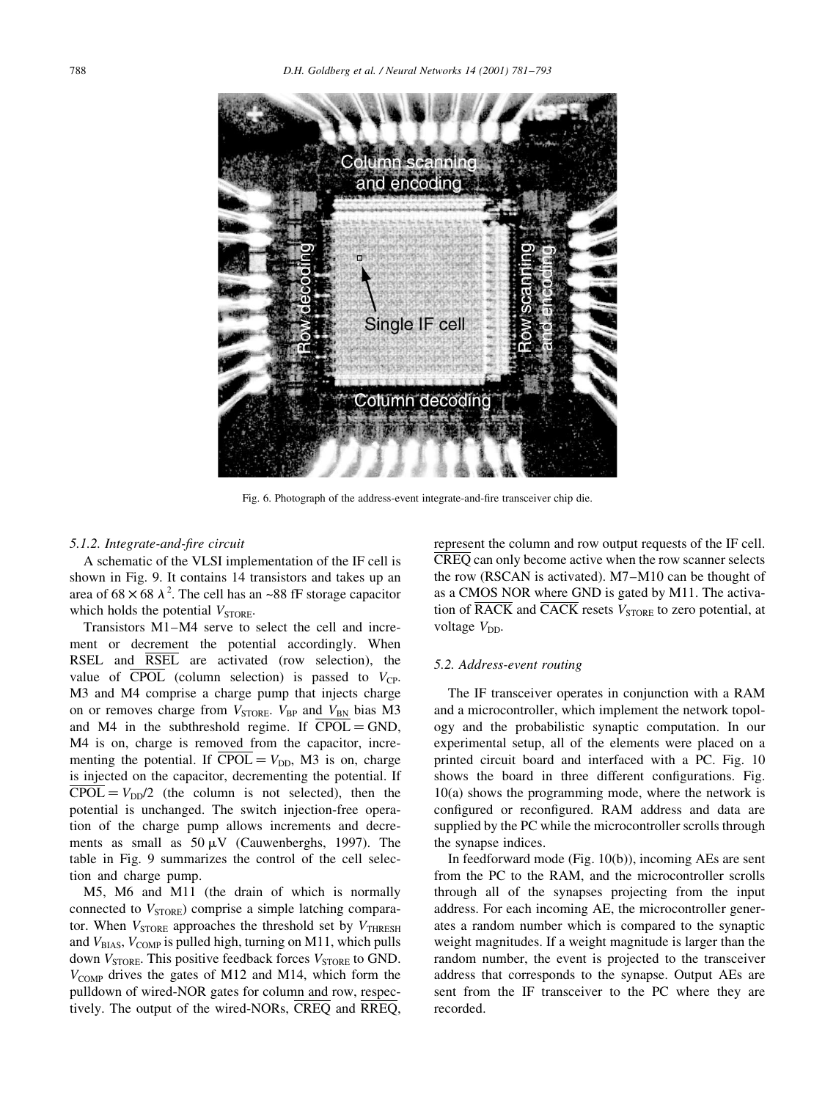

Fig. 6. Photograph of the address-event integrate-and-fire transceiver chip die.

### 5.1.2. Integrate-and-fire circuit

A schematic of the VLSI implementation of the IF cell is shown in Fig. 9. It contains 14 transistors and takes up an area of  $68 \times 68 \lambda^2$ . The cell has an ~88 fF storage capacitor which holds the potential  $V_{\text{STORE}}$ .

Transistors M1-M4 serve to select the cell and increment or decrement the potential accordingly. When RSEL and RSEL are activated (row selection), the value of  $\overline{CPOL}$  (column selection) is passed to  $V_{CP}$ . M3 and M4 comprise a charge pump that injects charge on or removes charge from  $V_{\text{STORE}}$ .  $V_{\text{BP}}$  and  $V_{\text{BN}}$  bias M3 and M4 in the subthreshold regime. If  $\overline{CPOL} = \overline{GND}$ , M4 is on, charge is removed from the capacitor, incrementing the potential. If  $CPOL = V_{DD}$ , M3 is on, charge is injected on the capacitor, decrementing the potential. If  $CPOL = V<sub>DD</sub>/2$  (the column is not selected), then the potential is unchanged. The switch injection-free operation of the charge pump allows increments and decrements as small as  $50 \mu V$  (Cauwenberghs, 1997). The table in Fig. 9 summarizes the control of the cell selection and charge pump.

M5, M6 and M11 (the drain of which is normally connected to  $V_{\text{STORE}}$  comprise a simple latching comparator. When  $V_{\text{STORE}}$  approaches the threshold set by  $V_{\text{THRESH}}$ and  $V_{BIAS}$ ,  $V_{COMP}$  is pulled high, turning on M11, which pulls down  $V_{\text{STORE}}$ . This positive feedback forces  $V_{\text{STORE}}$  to GND.  $V_{\text{COMP}}$  drives the gates of M12 and M14, which form the pulldown of wired-NOR gates for column and row, respectively. The output of the wired-NORs, CREO and RREO,

represent the column and row output requests of the IF cell. CREQ can only become active when the row scanner selects the row (RSCAN is activated). M7-M10 can be thought of as a CMOS NOR where GND is gated by M11. The activation of  $\overline{\text{RACK}}$  and  $\overline{\text{CACK}}$  resets  $V_{\text{STORE}}$  to zero potential, at voltage  $V_{DD}$ .

## 5.2. Address-event routing

The IF transceiver operates in conjunction with a RAM and a microcontroller, which implement the network topology and the probabilistic synaptic computation. In our experimental setup, all of the elements were placed on a printed circuit board and interfaced with a PC. Fig. 10 shows the board in three different configurations. Fig.  $10(a)$  shows the programming mode, where the network is configured or reconfigured. RAM address and data are supplied by the PC while the microcontroller scrolls through the synapse indices.

In feedforward mode (Fig.  $10(b)$ ), incoming AEs are sent from the PC to the RAM, and the microcontroller scrolls through all of the synapses projecting from the input address. For each incoming AE, the microcontroller generates a random number which is compared to the synaptic weight magnitudes. If a weight magnitude is larger than the random number, the event is projected to the transceiver address that corresponds to the synapse. Output AEs are sent from the IF transceiver to the PC where they are recorded.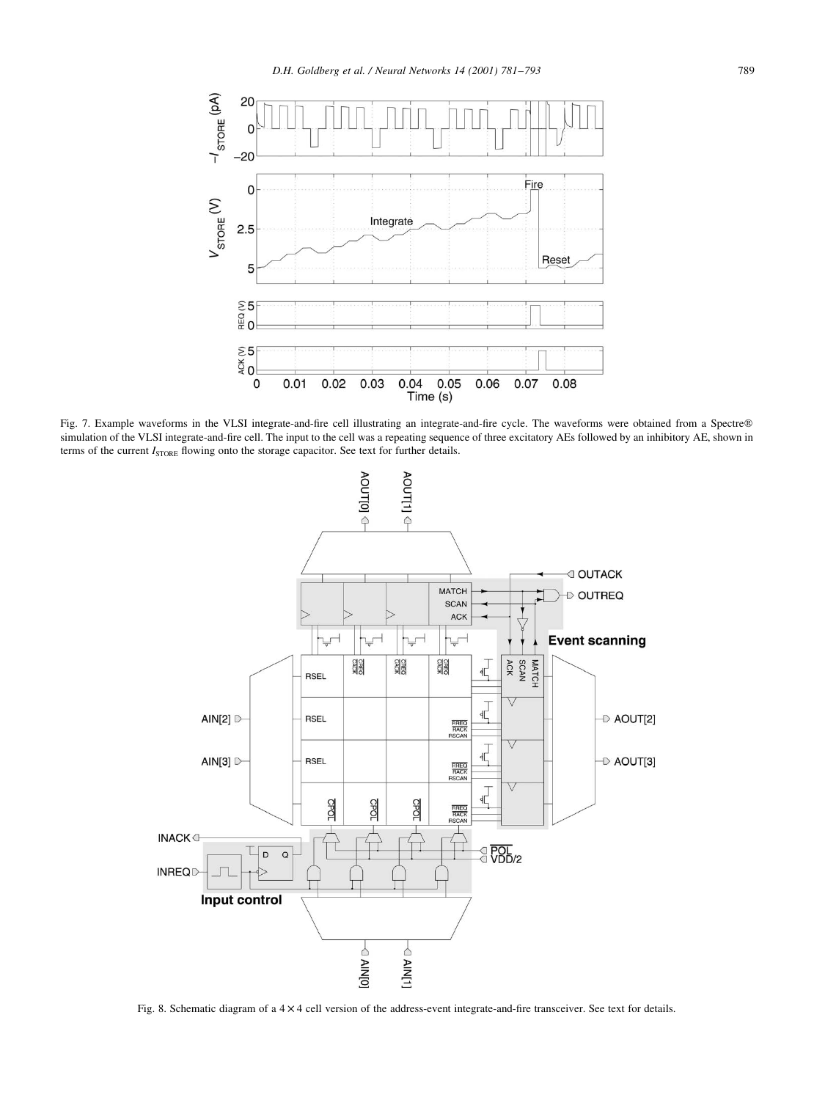

Fig. 7. Example waveforms in the VLSI integrate-and-fire cell illustrating an integrate-and-fire cycle. The waveforms were obtained from a Spectre® simulation of the VLSI integrate-and-fire cell. The input to the cell was a repeating sequence of three excitatory AEs followed by an inhibitory AE, shown in terms of the current  $I_{\text{STORE}}$  flowing onto the storage capacitor. See text for further details.



Fig. 8. Schematic diagram of a  $4 \times 4$  cell version of the address-event integrate-and-fire transceiver. See text for details.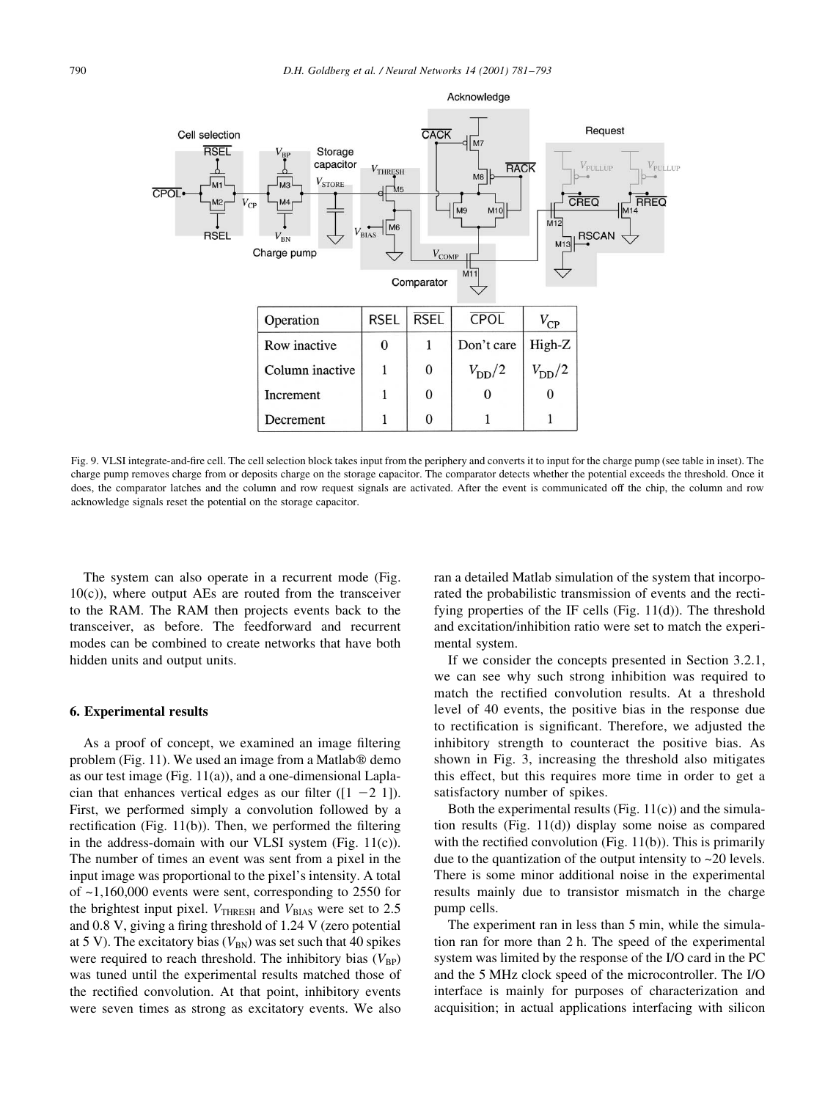

Fig. 9. VLSI integrate-and-fire cell. The cell selection block takes input from the periphery and converts it to input for the charge pump (see table in inset). The charge pump removes charge from or deposits charge on the storage capacitor. The comparator detects whether the potential exceeds the threshold. Once it does, the comparator latches and the column and row request signals are activated. After the event is communicated off the chip, the column and row acknowledge signals reset the potential on the storage capacitor.

The system can also operate in a recurrent mode (Fig.  $10(c)$ , where output AEs are routed from the transceiver to the RAM. The RAM then projects events back to the transceiver, as before. The feedforward and recurrent modes can be combined to create networks that have both hidden units and output units.

# **6. Experimental results**

As a proof of concept, we examined an image filtering problem (Fig. 11). We used an image from a Matlab® demo as our test image (Fig.  $11(a)$ ), and a one-dimensional Laplacian that enhances vertical edges as our filter ( $[1 -2 1]$ ). First, we performed simply a convolution followed by a rectification (Fig.  $11(b)$ ). Then, we performed the filtering in the address-domain with our VLSI system (Fig.  $11(c)$ ). The number of times an event was sent from a pixel in the input image was proportional to the pixel's intensity. A total of  $\sim$ 1,160,000 events were sent, corresponding to 2550 for the brightest input pixel.  $V_{\text{THRESH}}$  and  $V_{\text{BIAS}}$  were set to 2.5 and 0.8 V, giving a firing threshold of 1.24 V (zero potential at 5 V). The excitatory bias  $(V_{\rm BN})$  was set such that 40 spikes were required to reach threshold. The inhibitory bias  $(V_{\text{RP}})$ was tuned until the experimental results matched those of the rectified convolution. At that point, inhibitory events were seven times as strong as excitatory events. We also ran a detailed Matlab simulation of the system that incorporated the probabilistic transmission of events and the rectifying properties of the IF cells (Fig.  $11(d)$ ). The threshold and excitation/inhibition ratio were set to match the experimental system.

If we consider the concepts presented in Section 3.2.1, we can see why such strong inhibition was required to match the rectified convolution results. At a threshold level of 40 events, the positive bias in the response due to rectification is significant. Therefore, we adjusted the inhibitory strength to counteract the positive bias. As shown in Fig. 3, increasing the threshold also mitigates this effect, but this requires more time in order to get a satisfactory number of spikes.

Both the experimental results (Fig.  $11(c)$ ) and the simulation results (Fig.  $11(d)$ ) display some noise as compared with the rectified convolution (Fig.  $11(b)$ ). This is primarily due to the quantization of the output intensity to  $\sim$ 20 levels. There is some minor additional noise in the experimental results mainly due to transistor mismatch in the charge pump cells.

The experiment ran in less than 5 min, while the simulation ran for more than 2 h. The speed of the experimental system was limited by the response of the I/O card in the PC and the 5 MHz clock speed of the microcontroller. The I/O interface is mainly for purposes of characterization and acquisition; in actual applications interfacing with silicon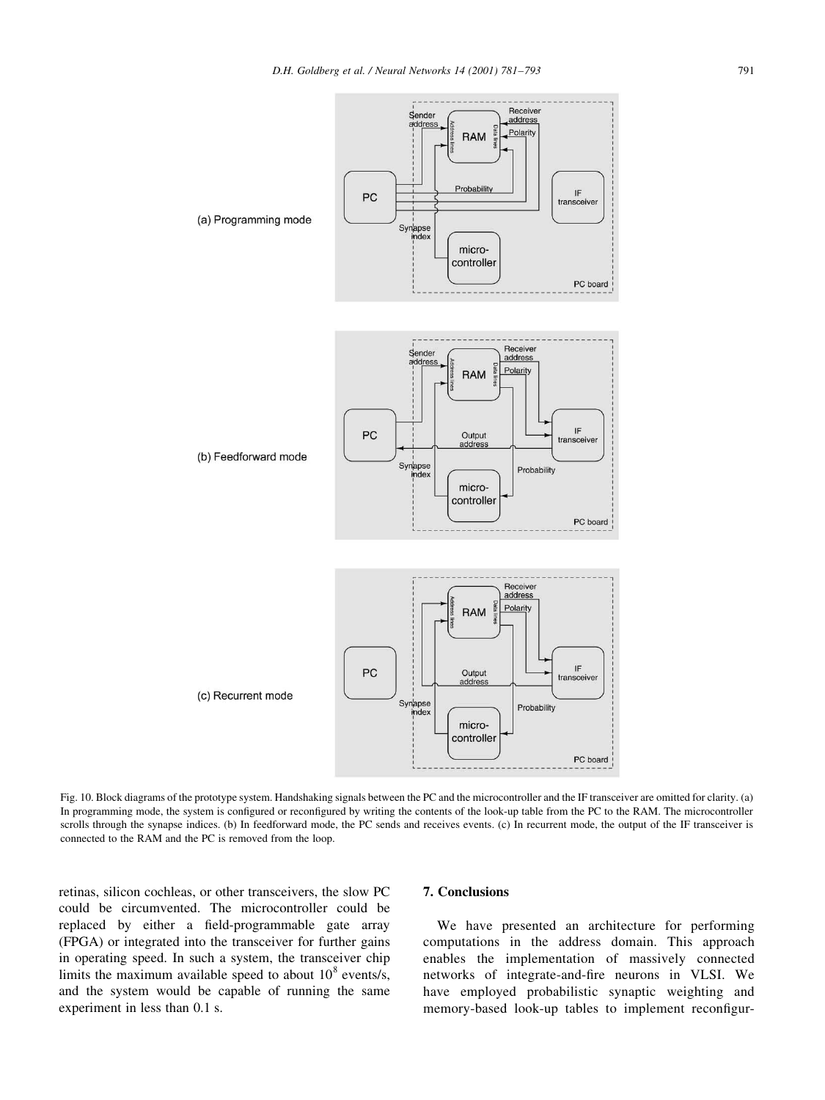

Fig. 10. Block diagrams of the prototype system. Handshaking signals between the PC and the microcontroller and the IF transceiver are omitted for clarity. (a) In programming mode, the system is configured or reconfigured by writing the contents of the look-up table from the PC to the RAM. The microcontroller scrolls through the synapse indices. (b) In feedforward mode, the PC sends and receives events. (c) In recurrent mode, the output of the IF transceiver is connected to the RAM and the PC is removed from the loop.

retinas, silicon cochleas, or other transceivers, the slow PC could be circumvented. The microcontroller could be replaced by either a field-programmable gate array (FPGA) or integrated into the transceiver for further gains in operating speed. In such a system, the transceiver chip limits the maximum available speed to about  $10^8$  events/s, and the system would be capable of running the same experiment in less than 0.1 s.

# 7. Conclusions

We have presented an architecture for performing computations in the address domain. This approach enables the implementation of massively connected networks of integrate-and-fire neurons in VLSI. We have employed probabilistic synaptic weighting and memory-based look-up tables to implement reconfigur-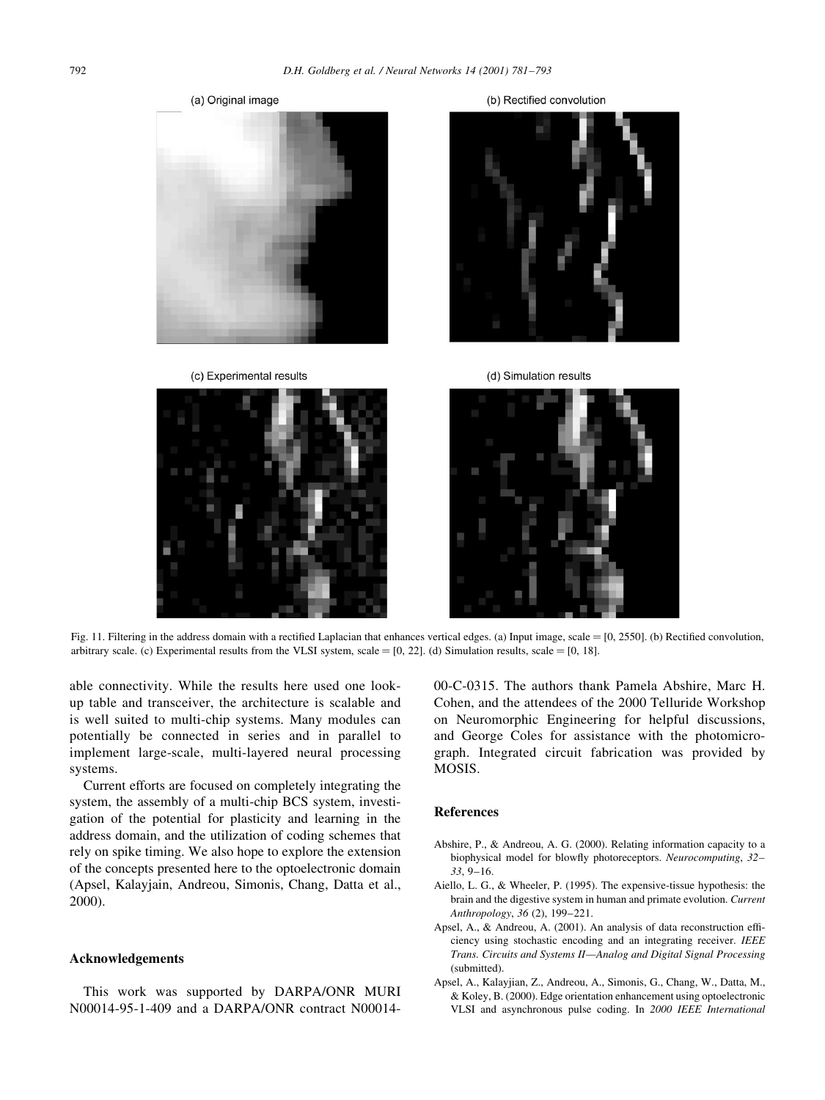

Fig. 11. Filtering in the address domain with a rectified Laplacian that enhances vertical edges. (a) Input image, scale = [0, 2550]. (b) Rectified convolution, arbitrary scale. (c) Experimental results from the VLSI system, scale = [0, 22]. (d) Simulation results, scale = [0, 18].

able connectivity. While the results here used one lookup table and transceiver, the architecture is scalable and is well suited to multi-chip systems. Many modules can potentially be connected in series and in parallel to implement large-scale, multi-layered neural processing systems.

Current efforts are focused on completely integrating the system, the assembly of a multi-chip BCS system, investigation of the potential for plasticity and learning in the address domain, and the utilization of coding schemes that rely on spike timing. We also hope to explore the extension of the concepts presented here to the optoelectronic domain (Apsel, Kalayjain, Andreou, Simonis, Chang, Datta et al.,  $2000$ ).

# Acknowledgements

This work was supported by DARPA/ONR MURI N00014-95-1-409 and a DARPA/ONR contract N0001400-C-0315. The authors thank Pamela Abshire, Marc H. Cohen, and the attendees of the 2000 Telluride Workshop on Neuromorphic Engineering for helpful discussions, and George Coles for assistance with the photomicrograph. Integrated circuit fabrication was provided by MOSIS.

### **References**

- Abshire, P., & Andreou, A. G. (2000). Relating information capacity to a biophysical model for blowfly photoreceptors. Neurocomputing, 32- $33.9 - 16.$
- Aiello, L. G., & Wheeler, P. (1995). The expensive-tissue hypothesis: the brain and the digestive system in human and primate evolution. Current Anthropology, 36 (2), 199-221.
- Apsel, A., & Andreou, A. (2001). An analysis of data reconstruction efficiency using stochastic encoding and an integrating receiver. IEEE Trans. Circuits and Systems II-Analog and Digital Signal Processing (submitted).
- Apsel, A., Kalayjian, Z., Andreou, A., Simonis, G., Chang, W., Datta, M., & Koley, B. (2000). Edge orientation enhancement using optoelectronic VLSI and asynchronous pulse coding. In 2000 IEEE International